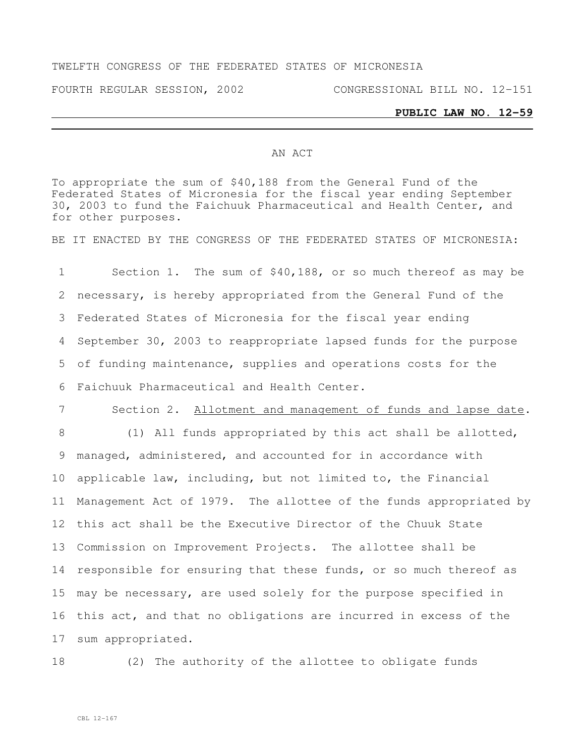## TWELFTH CONGRESS OF THE FEDERATED STATES OF MICRONESIA

FOURTH REGULAR SESSION, 2002 CONGRESSIONAL BILL NO. 12-151

## **PUBLIC LAW NO. 12-59**

## AN ACT

To appropriate the sum of \$40,188 from the General Fund of the Federated States of Micronesia for the fiscal year ending September 30, 2003 to fund the Faichuuk Pharmaceutical and Health Center, and for other purposes.

BE IT ENACTED BY THE CONGRESS OF THE FEDERATED STATES OF MICRONESIA:

 Section 1. The sum of \$40,188, or so much thereof as may be necessary, is hereby appropriated from the General Fund of the Federated States of Micronesia for the fiscal year ending September 30, 2003 to reappropriate lapsed funds for the purpose of funding maintenance, supplies and operations costs for the Faichuuk Pharmaceutical and Health Center.

7 Section 2. Allotment and management of funds and lapse date.

8 (1) All funds appropriated by this act shall be allotted, managed, administered, and accounted for in accordance with applicable law, including, but not limited to, the Financial Management Act of 1979. The allottee of the funds appropriated by this act shall be the Executive Director of the Chuuk State Commission on Improvement Projects. The allottee shall be responsible for ensuring that these funds, or so much thereof as may be necessary, are used solely for the purpose specified in this act, and that no obligations are incurred in excess of the sum appropriated.

18 (2) The authority of the allottee to obligate funds